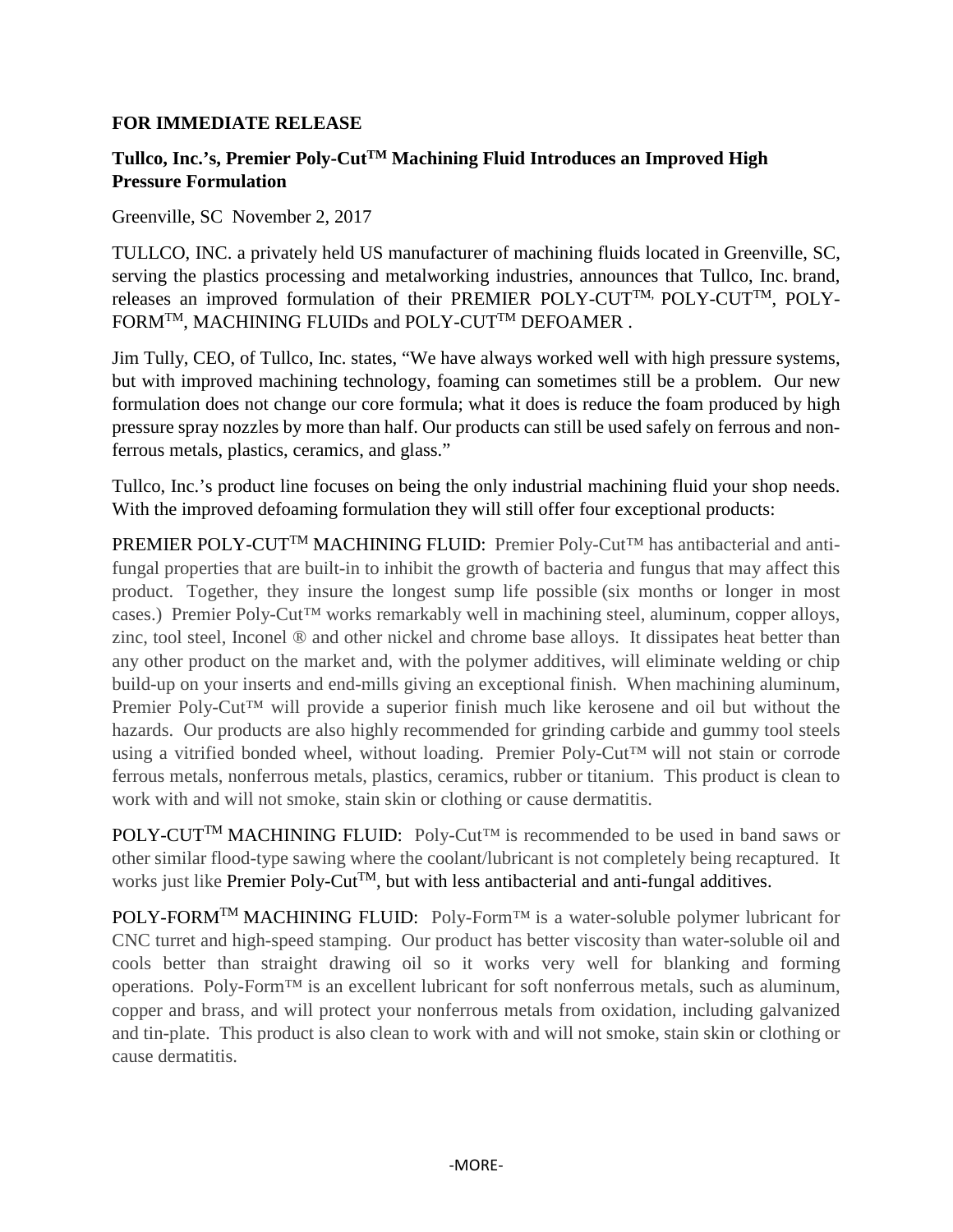## **FOR IMMEDIATE RELEASE**

## **Tullco, Inc.'s, Premier Poly-CutTM Machining Fluid Introduces an Improved High Pressure Formulation**

Greenville, SC November 2, 2017

TULLCO, INC. a privately held US manufacturer of machining fluids located in Greenville, SC, serving the plastics processing and metalworking industries, announces that Tullco, Inc. brand, releases an improved formulation of their PREMIER POLY-CUT™, POLY-CUT™, POLY-FORM<sup>TM</sup>, MACHINING FLUIDs and POLY-CUT<sup>TM</sup> DEFOAMER.

Jim Tully, CEO, of Tullco, Inc. states, "We have always worked well with high pressure systems, but with improved machining technology, foaming can sometimes still be a problem. Our new formulation does not change our core formula; what it does is reduce the foam produced by high pressure spray nozzles by more than half. Our products can still be used safely on ferrous and nonferrous metals, plastics, ceramics, and glass."

Tullco, Inc.'s product line focuses on being the only industrial machining fluid your shop needs. With the improved defoaming formulation they will still offer four exceptional products:

PREMIER POLY-CUT™ MACHINING FLUID: Premier Poly-Cut™ has antibacterial and antifungal properties that are built-in to inhibit the growth of bacteria and fungus that may affect this product. Together, they insure the longest sump life possible (six months or longer in most cases.) Premier Poly-Cut™ works remarkably well in machining steel, aluminum, copper alloys, zinc, tool steel, Inconel ® and other nickel and chrome base alloys. It dissipates heat better than any other product on the market and, with the polymer additives, will eliminate welding or chip build-up on your inserts and end-mills giving an exceptional finish. When machining aluminum, Premier Poly-Cut™ will provide a superior finish much like kerosene and oil but without the hazards. Our products are also highly recommended for grinding carbide and gummy tool steels using a vitrified bonded wheel, without loading. Premier Poly-Cut™ will not stain or corrode ferrous metals, nonferrous metals, plastics, ceramics, rubber or titanium. This product is clean to work with and will not smoke, stain skin or clothing or cause dermatitis.

POLY-CUT<sup>™</sup> MACHINING FLUID: Poly-Cut™ is recommended to be used in band saws or other similar flood-type sawing where the coolant/lubricant is not completely being recaptured. It works just like Premier Poly-Cut<sup>TM</sup>, but with less antibacterial and anti-fungal additives.

POLY-FORM<sup>™</sup> MACHINING FLUID: Poly-Form<sup>™</sup> is a water-soluble polymer lubricant for CNC turret and high-speed stamping. Our product has better viscosity than water-soluble oil and cools better than straight drawing oil so it works very well for blanking and forming operations. Poly-Form™ is an excellent lubricant for soft nonferrous metals, such as aluminum, copper and brass, and will protect your nonferrous metals from oxidation, including galvanized and tin-plate. This product is also clean to work with and will not smoke, stain skin or clothing or cause dermatitis.